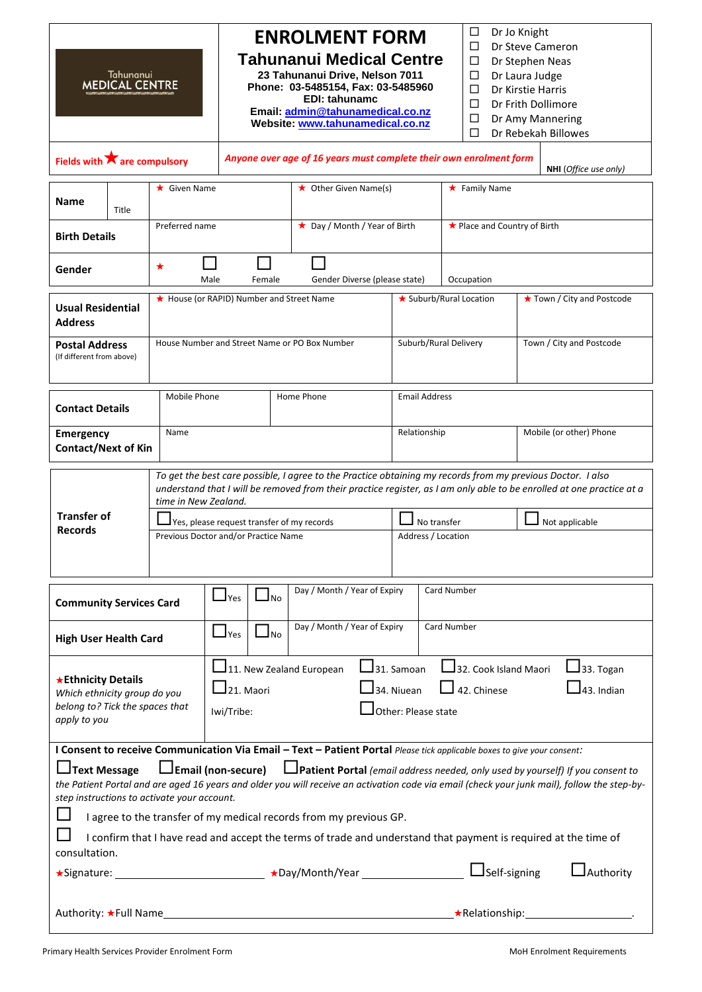| Tahunanui<br><b>MEDICAL CENTRE</b>                                                                                                                                                                                                                                                                                                                                                                                                                                     |                                                                                                                                                                                                                                                                                                                                | <b>ENROLMENT FORM</b><br><b>Tahunanui Medical Centre</b><br>23 Tahunanui Drive, Nelson 7011<br>Phone: 03-5485154, Fax: 03-5485960<br><b>EDI: tahunamc</b><br>Email: admin@tahunamedical.co.nz<br>Website: www.tahunamedical.co.nz                                                                                          |                                                                      | ⊔<br>П<br>П<br>□<br>П<br>П<br>□<br>П | Dr Jo Knight<br>Dr Steve Cameron<br>Dr Stephen Neas<br>Dr Laura Judge<br>Dr Kirstie Harris<br>Dr Frith Dollimore<br>Dr Amy Mannering<br>Dr Rebekah Billowes |                                                                                                                 |  |
|------------------------------------------------------------------------------------------------------------------------------------------------------------------------------------------------------------------------------------------------------------------------------------------------------------------------------------------------------------------------------------------------------------------------------------------------------------------------|--------------------------------------------------------------------------------------------------------------------------------------------------------------------------------------------------------------------------------------------------------------------------------------------------------------------------------|----------------------------------------------------------------------------------------------------------------------------------------------------------------------------------------------------------------------------------------------------------------------------------------------------------------------------|----------------------------------------------------------------------|--------------------------------------|-------------------------------------------------------------------------------------------------------------------------------------------------------------|-----------------------------------------------------------------------------------------------------------------|--|
| Fields with $\bigstar$ are compulsory                                                                                                                                                                                                                                                                                                                                                                                                                                  |                                                                                                                                                                                                                                                                                                                                | Anyone over age of 16 years must complete their own enrolment form                                                                                                                                                                                                                                                         |                                                                      |                                      | NHI (Office use only)                                                                                                                                       |                                                                                                                 |  |
| Name<br>Title                                                                                                                                                                                                                                                                                                                                                                                                                                                          | $\star$ Given Name                                                                                                                                                                                                                                                                                                             |                                                                                                                                                                                                                                                                                                                            | $\star$ Other Given Name(s)                                          |                                      | $\star$ Family Name                                                                                                                                         |                                                                                                                 |  |
| <b>Birth Details</b>                                                                                                                                                                                                                                                                                                                                                                                                                                                   | Preferred name                                                                                                                                                                                                                                                                                                                 |                                                                                                                                                                                                                                                                                                                            | ★ Day / Month / Year of Birth                                        |                                      | ★ Place and Country of Birth                                                                                                                                |                                                                                                                 |  |
| Gender                                                                                                                                                                                                                                                                                                                                                                                                                                                                 | ★<br>Male                                                                                                                                                                                                                                                                                                                      | Female                                                                                                                                                                                                                                                                                                                     | Gender Diverse (please state)                                        |                                      | Occupation                                                                                                                                                  |                                                                                                                 |  |
| <b>Usual Residential</b><br><b>Address</b>                                                                                                                                                                                                                                                                                                                                                                                                                             |                                                                                                                                                                                                                                                                                                                                | ★ House (or RAPID) Number and Street Name                                                                                                                                                                                                                                                                                  |                                                                      |                                      | ★ Suburb/Rural Location<br>★ Town / City and Postcode                                                                                                       |                                                                                                                 |  |
| <b>Postal Address</b><br>(If different from above)                                                                                                                                                                                                                                                                                                                                                                                                                     |                                                                                                                                                                                                                                                                                                                                | House Number and Street Name or PO Box Number                                                                                                                                                                                                                                                                              |                                                                      | Suburb/Rural Delivery                | Town / City and Postcode                                                                                                                                    |                                                                                                                 |  |
| <b>Contact Details</b>                                                                                                                                                                                                                                                                                                                                                                                                                                                 | Mobile Phone<br>Home Phone<br><b>Email Address</b>                                                                                                                                                                                                                                                                             |                                                                                                                                                                                                                                                                                                                            |                                                                      |                                      |                                                                                                                                                             |                                                                                                                 |  |
| <b>Emergency</b>                                                                                                                                                                                                                                                                                                                                                                                                                                                       | Name<br><b>Contact/Next of Kin</b>                                                                                                                                                                                                                                                                                             |                                                                                                                                                                                                                                                                                                                            |                                                                      |                                      | Relationship                                                                                                                                                | Mobile (or other) Phone                                                                                         |  |
| time in New Zealand.<br><b>Transfer of</b><br><b>Records</b>                                                                                                                                                                                                                                                                                                                                                                                                           |                                                                                                                                                                                                                                                                                                                                | To get the best care possible, I agree to the Practice obtaining my records from my previous Doctor. I also<br>understand that I will be removed from their practice register, as I am only able to be enrolled at one practice at a<br>Yes, please request transfer of my records<br>Previous Doctor and/or Practice Name |                                                                      | No transfer<br>Address / Location    |                                                                                                                                                             | Not applicable                                                                                                  |  |
| $\Box_{\text{No}}$<br>$\Box$ Yes<br><b>Community Services Card</b>                                                                                                                                                                                                                                                                                                                                                                                                     |                                                                                                                                                                                                                                                                                                                                |                                                                                                                                                                                                                                                                                                                            | Day / Month / Year of Expiry                                         |                                      | Card Number                                                                                                                                                 |                                                                                                                 |  |
| <b>High User Health Card</b>                                                                                                                                                                                                                                                                                                                                                                                                                                           |                                                                                                                                                                                                                                                                                                                                | $\Box_{\text{No}}$<br>$\Box$ Yes                                                                                                                                                                                                                                                                                           | Day / Month / Year of Expiry                                         |                                      | <b>Card Number</b>                                                                                                                                          |                                                                                                                 |  |
| ★ Ethnicity Details<br>apply to you                                                                                                                                                                                                                                                                                                                                                                                                                                    | $\mathsf{J}$ 31. Samoan<br>32. Cook Island Maori<br>$\Box$ 11. New Zealand European<br>$\mathsf{J}$ 33. Togan<br>$\Box$ 21. Maori<br>$\Box$ 42. Chinese<br>$I$ 43. Indian<br>$\mathsf{\mathsf{\mathsf{I}}}$ 34. Niuean<br>Which ethnicity group do you<br>belong to? Tick the spaces that<br>Other: Please state<br>Iwi/Tribe: |                                                                                                                                                                                                                                                                                                                            |                                                                      |                                      |                                                                                                                                                             |                                                                                                                 |  |
| I Consent to receive Communication Via Email - Text - Patient Portal Please tick applicable boxes to give your consent:<br><b>L</b> Patient Portal (email address needed, only used by yourself) If you consent to<br>$\Box$ Email (non-secure)<br><b>JText Message</b><br>the Patient Portal and are aged 16 years and older you will receive an activation code via email (check your junk mail), follow the step-by-<br>step instructions to activate your account. |                                                                                                                                                                                                                                                                                                                                |                                                                                                                                                                                                                                                                                                                            |                                                                      |                                      |                                                                                                                                                             |                                                                                                                 |  |
| consultation.                                                                                                                                                                                                                                                                                                                                                                                                                                                          |                                                                                                                                                                                                                                                                                                                                |                                                                                                                                                                                                                                                                                                                            | I agree to the transfer of my medical records from my previous GP.   |                                      |                                                                                                                                                             | I confirm that I have read and accept the terms of trade and understand that payment is required at the time of |  |
|                                                                                                                                                                                                                                                                                                                                                                                                                                                                        |                                                                                                                                                                                                                                                                                                                                |                                                                                                                                                                                                                                                                                                                            | ★Signature: _____________________________ ★Day/Month/Year __________ |                                      | $\Box$ Self-signing                                                                                                                                         | $\mathsf{\Delta}$ Authority                                                                                     |  |

Authority: Full Name Relationship: .